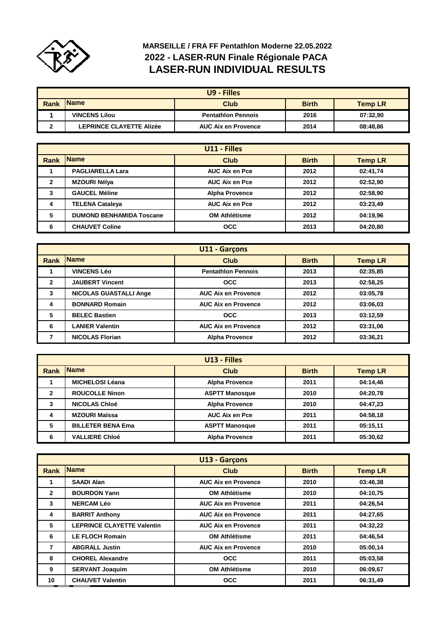

## **MARSEILLE / FRA FF Pentathlon Moderne 22.05.2022 2022 - LASER-RUN Finale Régionale PACA LASER-RUN INDIVIDUAL RESULTS**

| U9 - Filles |                                 |                            |                |          |
|-------------|---------------------------------|----------------------------|----------------|----------|
| <b>Rank</b> | <b>IName</b>                    | <b>Birth</b>               | <b>Temp LR</b> |          |
|             | <b>VINCENS Lilou</b>            | <b>Pentathlon Pennois</b>  | 2016           | 07:32.90 |
| ◠           | <b>LEPRINCE CLAYETTE Alizée</b> | <b>AUC Aix en Provence</b> | 2014           | 08:48.86 |

| U11 - Filles |                                 |                       |              |                |
|--------------|---------------------------------|-----------------------|--------------|----------------|
| <b>Rank</b>  | <b>Name</b>                     | <b>Club</b>           | <b>Birth</b> | <b>Temp LR</b> |
|              | <b>PAGLIARELLA Lara</b>         | <b>AUC Aix en Pce</b> | 2012         | 02:41.74       |
| $\mathbf{2}$ | <b>MZOURI Nélya</b>             | <b>AUC Aix en Pce</b> | 2012         | 02:52,90       |
| 3            | <b>GAUCEL Méline</b>            | <b>Alpha Provence</b> | 2012         | 02:58,90       |
| 4            | <b>TELENA Cataleya</b>          | <b>AUC Aix en Pce</b> | 2012         | 03:23.49       |
| 5            | <b>DUMOND BENHAMIDA Toscane</b> | <b>OM Athlétisme</b>  | 2012         | 04:19.96       |
| 6            | <b>CHAUVET Coline</b>           | <b>OCC</b>            | 2013         | 04:20,80       |

| <b>U11 - Garçons</b> |                               |                            |              |                |
|----------------------|-------------------------------|----------------------------|--------------|----------------|
| <b>Rank</b>          | <b>Name</b>                   | <b>Club</b>                | <b>Birth</b> | <b>Temp LR</b> |
|                      | <b>VINCENS Léo</b>            | <b>Pentathlon Pennois</b>  | 2013         | 02:35.85       |
| $\mathbf{2}$         | <b>JAUBERT Vincent</b>        | <b>OCC</b>                 | 2013         | 02:58,25       |
| 3                    | <b>NICOLAS GUASTALLI Ange</b> | <b>AUC Aix en Provence</b> | 2012         | 03:05.78       |
| 4                    | <b>BONNARD Romain</b>         | <b>AUC Aix en Provence</b> | 2012         | 03:06.03       |
| 5                    | <b>BELEC Bastien</b>          | <b>OCC</b>                 | 2013         | 03:12.59       |
| 6                    | <b>LANIER Valentin</b>        | <b>AUC Aix en Provence</b> | 2012         | 03:31.06       |
|                      | <b>NICOLAS Florian</b>        | <b>Alpha Provence</b>      | 2012         | 03:36.21       |

| U13 - Filles |                          |                       |              |                |
|--------------|--------------------------|-----------------------|--------------|----------------|
| <b>Rank</b>  | <b>Name</b>              | <b>Club</b>           | <b>Birth</b> | <b>Temp LR</b> |
|              | <b>MICHELOSI Léana</b>   | <b>Alpha Provence</b> | 2011         | 04:14,46       |
| 2            | <b>ROUCOLLE Ninon</b>    | <b>ASPTT Manosque</b> | 2010         | 04:20.78       |
| 3            | <b>NICOLAS Chloé</b>     | <b>Alpha Provence</b> | 2010         | 04:47.23       |
| 4            | <b>MZOURI Maïssa</b>     | <b>AUC Aix en Pce</b> | 2011         | 04:58.18       |
| 5            | <b>BILLETER BENA Ema</b> | <b>ASPTT Manosque</b> | 2011         | 05:15.11       |
| 6            | <b>VALLIERE Chloé</b>    | <b>Alpha Provence</b> | 2011         | 05:30.62       |

| <b>U13 - Garçons</b> |                                   |                            |              |                |
|----------------------|-----------------------------------|----------------------------|--------------|----------------|
| <b>Rank</b>          | <b>Name</b>                       | <b>Club</b>                | <b>Birth</b> | <b>Temp LR</b> |
| 1                    | <b>SAADI Alan</b>                 | <b>AUC Aix en Provence</b> | 2010         | 03:46,38       |
| $\overline{2}$       | <b>BOURDON Yann</b>               | <b>OM Athlétisme</b>       | 2010         | 04:10.75       |
| 3                    | <b>NERCAM Léo</b>                 | <b>AUC Aix en Provence</b> | 2011         | 04:26,54       |
| 4                    | <b>BARRIT Anthony</b>             | <b>AUC Aix en Provence</b> | 2011         | 04:27.65       |
| 5                    | <b>LEPRINCE CLAYETTE Valentin</b> | <b>AUC Aix en Provence</b> | 2011         | 04:32,22       |
| 6                    | <b>LE FLOCH Romain</b>            | <b>OM Athlétisme</b>       | 2011         | 04:46,54       |
| 7                    | <b>ABGRALL Justin</b>             | <b>AUC Aix en Provence</b> | 2010         | 05:00,14       |
| 8                    | <b>CHOREL Alexandre</b>           | <b>OCC</b>                 | 2011         | 05:03.58       |
| 9                    | <b>SERVANT Joaquim</b>            | <b>OM Athlétisme</b>       | 2010         | 06:09.67       |
| 10                   | <b>CHAUVET Valentin</b>           | <b>OCC</b>                 | 2011         | 06:31,49       |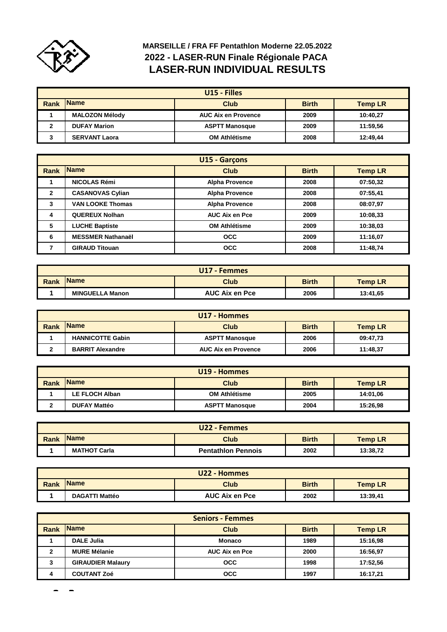

## **MARSEILLE / FRA FF Pentathlon Moderne 22.05.2022 2022 - LASER-RUN Finale Régionale PACA LASER-RUN INDIVIDUAL RESULTS**

| U <sub>15</sub> - Filles |                       |                            |              |                |
|--------------------------|-----------------------|----------------------------|--------------|----------------|
| <b>Rank</b>              | <b>IName</b>          | Club                       | <b>Birth</b> | <b>Temp LR</b> |
|                          | <b>MALOZON Mélody</b> | <b>AUC Aix en Provence</b> | 2009         | 10:40.27       |
|                          | <b>DUFAY Marion</b>   | <b>ASPTT Manosque</b>      | 2009         | 11:59.56       |
| 3                        | <b>SERVANT Laora</b>  | <b>OM Athlétisme</b>       | 2008         | 12:49.44       |

| <b>U15 - Garcons</b> |                          |                       |              |                |
|----------------------|--------------------------|-----------------------|--------------|----------------|
| <b>Rank</b>          | <b>Name</b>              | <b>Club</b>           | <b>Birth</b> | <b>Temp LR</b> |
|                      | <b>NICOLAS Rémi</b>      | <b>Alpha Provence</b> | 2008         | 07:50,32       |
| $\mathbf{2}$         | <b>CASANOVAS Cylian</b>  | <b>Alpha Provence</b> | 2008         | 07:55,41       |
| 3                    | <b>VAN LOOKE Thomas</b>  | <b>Alpha Provence</b> | 2008         | 08:07.97       |
| 4                    | <b>QUEREUX Nolhan</b>    | <b>AUC Aix en Pce</b> | 2009         | 10:08.33       |
| 5                    | <b>LUCHE Baptiste</b>    | <b>OM Athlétisme</b>  | 2009         | 10:38.03       |
| 6                    | <b>MESSMER Nathanaël</b> | <b>OCC</b>            | 2009         | 11:16,07       |
| 7                    | <b>GIRAUD Titouan</b>    | <b>OCC</b>            | 2008         | 11:48,74       |

| U17 - Femmes |                        |                       |              |                |
|--------------|------------------------|-----------------------|--------------|----------------|
| <b>Rank</b>  | <b>IName</b>           | <b>Club</b>           | <b>Birth</b> | <b>Temp LR</b> |
|              | <b>MINGUELLA Manon</b> | <b>AUC Aix en Pce</b> | 2006         | 13:41.65       |

| U17 - Hommes |                         |                            |              |                |
|--------------|-------------------------|----------------------------|--------------|----------------|
| Rank         | <b>IName</b>            | Club                       | <b>Birth</b> | <b>Temp LR</b> |
|              | <b>HANNICOTTE Gabin</b> | <b>ASPTT Manosque</b>      | 2006         | 09:47.73       |
|              | <b>BARRIT Alexandre</b> | <b>AUC Aix en Provence</b> | 2006         | 11:48.37       |

| U19 - Hommes |                       |                       |              |                |
|--------------|-----------------------|-----------------------|--------------|----------------|
| Rank         | <b>Name</b>           | Club                  | <b>Birth</b> | <b>Temp LR</b> |
|              | <b>LE FLOCH Alban</b> | <b>OM Athlétisme</b>  | 2005         | 14:01.06       |
| ◠            | <b>DUFAY Mattéo</b>   | <b>ASPTT Manosque</b> | 2004         | 15:26.98       |

| U22 - Femmes |                     |                           |              |                |
|--------------|---------------------|---------------------------|--------------|----------------|
| <b>Rank</b>  | <b>Name</b>         | <b>Club</b>               | <b>Birth</b> | <b>Temp LR</b> |
|              | <b>MATHOT Carla</b> | <b>Pentathlon Pennois</b> | 2002         | 13:38,72       |

| U22 - Hommes |                       |                       |              |                |
|--------------|-----------------------|-----------------------|--------------|----------------|
| Rank         | <b>Name</b>           | <b>Club</b>           | <b>Birth</b> | <b>Temp LR</b> |
|              | <b>DAGATTI Mattéo</b> | <b>AUC Aix en Pce</b> | 2002         | 13:39,41       |

|      | <b>Seniors - Femmes</b>  |                       |              |                |  |  |
|------|--------------------------|-----------------------|--------------|----------------|--|--|
| Rank | <b>Name</b>              | <b>Club</b>           | <b>Birth</b> | <b>Temp LR</b> |  |  |
|      | <b>DALE Julia</b>        | <b>Monaco</b>         | 1989         | 15:16.98       |  |  |
| 2    | <b>MURE Mélanie</b>      | <b>AUC Aix en Pce</b> | 2000         | 16:56.97       |  |  |
| 3    | <b>GIRAUDIER Malaury</b> | <b>OCC</b>            | 1998         | 17:52.56       |  |  |
| 4    | <b>COUTANT Zoé</b>       | <b>OCC</b>            | 1997         | 16:17,21       |  |  |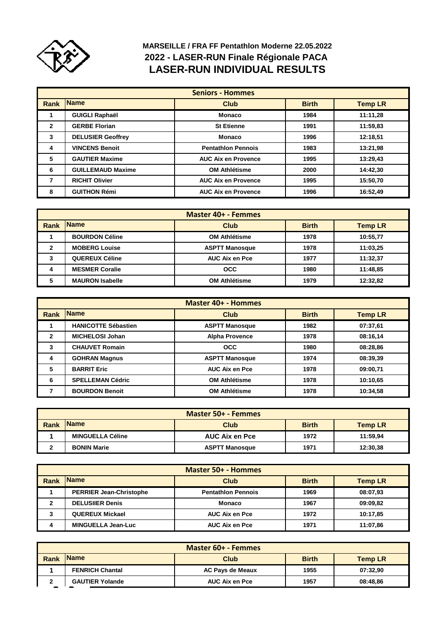

## **LASER-RUN INDIVIDUAL RESULTS MARSEILLE / FRA FF Pentathlon Moderne 22.05.2022 2022 - LASER-RUN Finale Régionale PACA**

| <b>Seniors - Hommes</b> |                          |                            |              |                |
|-------------------------|--------------------------|----------------------------|--------------|----------------|
| <b>Rank</b>             | <b>Name</b>              | <b>Club</b>                | <b>Birth</b> | <b>Temp LR</b> |
|                         | <b>GUIGLI Raphaël</b>    | <b>Monaco</b>              | 1984         | 11:11,28       |
| $\mathbf{2}$            | <b>GERBE Florian</b>     | <b>St Etienne</b>          | 1991         | 11:59.83       |
| 3                       | <b>DELUSIER Geoffrey</b> | <b>Monaco</b>              | 1996         | 12:18.51       |
| 4                       | <b>VINCENS Benoit</b>    | <b>Pentathlon Pennois</b>  | 1983         | 13:21,98       |
| 5                       | <b>GAUTIER Maxime</b>    | <b>AUC Aix en Provence</b> | 1995         | 13:29,43       |
| 6                       | <b>GUILLEMAUD Maxime</b> | <b>OM Athlétisme</b>       | 2000         | 14:42.30       |
| 7                       | <b>RICHIT Olivier</b>    | <b>AUC Aix en Provence</b> | 1995         | 15:50,70       |
| 8                       | <b>GUITHON Rémi</b>      | <b>AUC Aix en Provence</b> | 1996         | 16:52.49       |

| Master 40+ - Femmes |                        |                       |              |                |
|---------------------|------------------------|-----------------------|--------------|----------------|
| <b>Rank</b>         | <b>Name</b>            | Club                  | <b>Birth</b> | <b>Temp LR</b> |
|                     | <b>BOURDON Céline</b>  | <b>OM Athlétisme</b>  | 1978         | 10:55.77       |
| 2                   | <b>MOBERG Louise</b>   | <b>ASPTT Manosque</b> | 1978         | 11:03.25       |
| 3                   | <b>QUEREUX Céline</b>  | <b>AUC Aix en Pce</b> | 1977         | 11:32.37       |
| 4                   | <b>MESMER Coralie</b>  | <b>OCC</b>            | 1980         | 11:48,85       |
| 5                   | <b>MAURON Isabelle</b> | <b>OM Athlétisme</b>  | 1979         | 12:32,82       |

| <b>Master 40+ - Hommes</b> |                            |                       |              |                |  |
|----------------------------|----------------------------|-----------------------|--------------|----------------|--|
| Rank                       | <b>Name</b>                | Club                  | <b>Birth</b> | <b>Temp LR</b> |  |
|                            | <b>HANICOTTE Sébastien</b> | <b>ASPTT Manosque</b> | 1982         | 07:37.61       |  |
| 2                          | <b>MICHELOSI Johan</b>     | <b>Alpha Provence</b> | 1978         | 08:16,14       |  |
| 3                          | <b>CHAUVET Romain</b>      | <b>OCC</b>            | 1980         | 08:28,86       |  |
| 4                          | <b>GOHRAN Magnus</b>       | <b>ASPTT Manosque</b> | 1974         | 08:39,39       |  |
| 5                          | <b>BARRIT Eric</b>         | <b>AUC Aix en Pce</b> | 1978         | 09:00.71       |  |
| 6                          | <b>SPELLEMAN Cédric</b>    | <b>OM Athlétisme</b>  | 1978         | 10:10.65       |  |
|                            | <b>BOURDON Benoit</b>      | <b>OM Athlétisme</b>  | 1978         | 10:34,58       |  |

| Master 50+ - Femmes |                         |                       |              |                |  |
|---------------------|-------------------------|-----------------------|--------------|----------------|--|
| Rank                | <b>IName</b>            | <b>Club</b>           | <b>Birth</b> | <b>Temp LR</b> |  |
|                     | <b>MINGUELLA Céline</b> | <b>AUC Aix en Pce</b> | 1972         | 11:59.94       |  |
|                     | <b>BONIN Marie</b>      | <b>ASPTT Manosque</b> | 1971         | 12:30.38       |  |

| <b>Master 50+ - Hommes</b> |                                |                           |              |                |  |
|----------------------------|--------------------------------|---------------------------|--------------|----------------|--|
| Rank                       | <b>IName</b>                   | <b>Club</b>               | <b>Birth</b> | <b>Temp LR</b> |  |
|                            | <b>PERRIER Jean-Christophe</b> | <b>Pentathlon Pennois</b> | 1969         | 08:07.93       |  |
| 2                          | <b>DELUSIIER Denis</b>         | <b>Monaco</b>             | 1967         | 09:09.82       |  |
| 3                          | <b>QUEREUX Mickael</b>         | <b>AUC Aix en Pce</b>     | 1972         | 10:17,85       |  |
| 4                          | <b>MINGUELLA Jean-Luc</b>      | <b>AUC Aix en Pce</b>     | 1971         | 11:07.86       |  |

| Master 60+ - Femmes |                        |                         |              |                |  |
|---------------------|------------------------|-------------------------|--------------|----------------|--|
| Rank                | <b>Name</b>            | Club                    | <b>Birth</b> | <b>Temp LR</b> |  |
|                     | <b>FENRICH Chantal</b> | <b>AC Pays de Meaux</b> | 1955         | 07:32.90       |  |
| ◠                   | <b>GAUTIER Yolande</b> | <b>AUC Aix en Pce</b>   | 1957         | 08:48.86       |  |